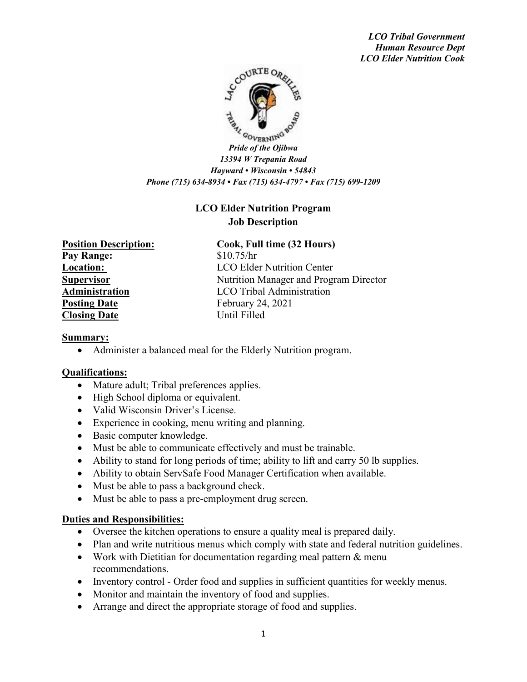*LCO Tribal Government Human Resource Dept LCO Elder Nutrition Cook*



*Pride of the Ojibwa 13394 W Trepania Road Hayward • Wisconsin • 54843 Phone (715) 634-8934 • Fax (715) 634-4797 • Fax (715) 699-1209*

# **LCO Elder Nutrition Program Job Description**

**Pay Range:** \$10.75/hr **Posting Date** February 24, 2021 **Closing Date** Until Filled

## **Position Description: Cook, Full time (32 Hours)**

**Location:** LCO Elder Nutrition Center **Supervisor** Nutrition Manager and Program Director **Administration** LCO Tribal Administration

#### **Summary:**

• Administer a balanced meal for the Elderly Nutrition program.

#### **Qualifications:**

- Mature adult; Tribal preferences applies.
- High School diploma or equivalent.
- Valid Wisconsin Driver's License.
- Experience in cooking, menu writing and planning.
- Basic computer knowledge.
- Must be able to communicate effectively and must be trainable.
- Ability to stand for long periods of time; ability to lift and carry 50 lb supplies.
- Ability to obtain ServSafe Food Manager Certification when available.
- Must be able to pass a background check.
- Must be able to pass a pre-employment drug screen.

#### **Duties and Responsibilities:**

- Oversee the kitchen operations to ensure a quality meal is prepared daily.
- Plan and write nutritious menus which comply with state and federal nutrition guidelines.
- Work with Dietitian for documentation regarding meal pattern & menu recommendations.
- Inventory control Order food and supplies in sufficient quantities for weekly menus.
- Monitor and maintain the inventory of food and supplies.
- Arrange and direct the appropriate storage of food and supplies.